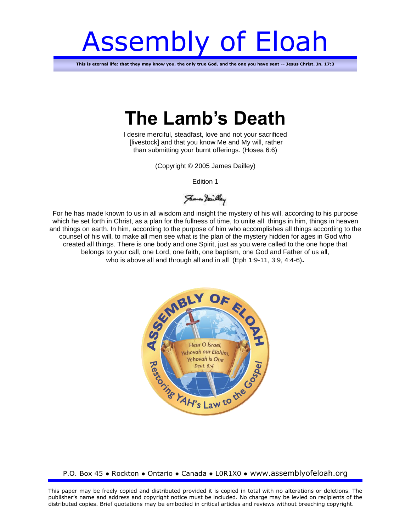# Assembly of Eloah

**This is eternal life: that they may know you, the only true God, and the one you have sent -- Jesus Christ. Jn. 17:3**

# **The Lamb's Death**

I desire merciful, steadfast, love and not your sacrificed [livestock] and that you know Me and My will, rather than submitting your burnt offerings. (Hosea 6:6)

(Copyright © 2005 James Dailley)

Edition 1

James Dailley

For he has made known to us in all wisdom and insight the mystery of his will, according to his purpose which he set forth in Christ, as a plan for the fullness of time, to unite all things in him, things in heaven and things on earth. In him, according to the purpose of him who accomplishes all things according to the counsel of his will, to make all men see what is the plan of the mystery hidden for ages in God who created all things. There is one body and one Spirit, just as you were called to the one hope that belongs to your call, one Lord, one faith, one baptism, one God and Father of us all, who is above all and through all and in all (Eph 1:9-11, 3:9, 4:4-6)**.**



#### P.O. Box 45 ● Rockton ● Ontario ● Canada ● L0R1X0 ● www.assemblyofeloah.org

This paper may be freely copied and distributed provided it is copied in total with no alterations or deletions. The publisher's name and address and copyright notice must be included. No charge may be levied on recipients of the distributed copies. Brief quotations may be embodied in critical articles and reviews without breeching copyright.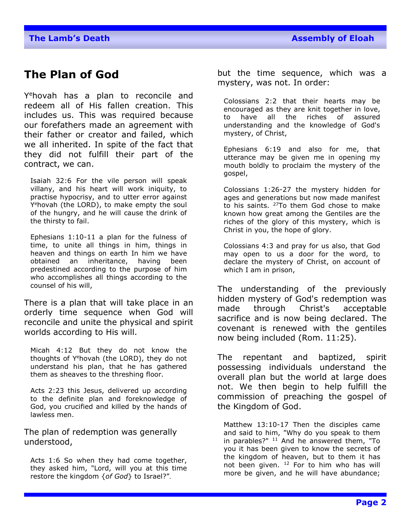# **The Plan of God**

Y <sup>e</sup>hovah has a plan to reconcile and redeem all of His fallen creation. This includes us. This was required because our forefathers made an agreement with their father or creator and failed, which we all inherited. In spite of the fact that they did not fulfill their part of the contract, we can.

Isaiah 32:6 For the vile person will speak villany, and his heart will work iniquity, to practise hypocrisy, and to utter error against Y <sup>e</sup>hovah (the LORD), to make empty the soul of the hungry, and he will cause the drink of the thirsty to fail.

Ephesians 1:10-11 a plan for the fulness of time, to unite all things in him, things in heaven and things on earth In him we have obtained an inheritance, having been predestined according to the purpose of him who accomplishes all things according to the counsel of his will,

There is a plan that will take place in an orderly time sequence when God will reconcile and unite the physical and spirit worlds according to His will.

Micah 4:12 But they do not know the thoughts of Y<sup>e</sup>hovah (the LORD), they do not understand his plan, that he has gathered them as sheaves to the threshing floor.

Acts 2:23 this Jesus, delivered up according to the definite plan and foreknowledge of God, you crucified and killed by the hands of lawless men.

The plan of redemption was generally understood,

Acts 1:6 So when they had come together, they asked him, "Lord, will you at this time restore the kingdom {*of God*} to Israel?".

but the time sequence, which was a mystery, was not. In order:

Colossians 2:2 that their hearts may be encouraged as they are knit together in love, to have all the riches of assured understanding and the knowledge of God's mystery, of Christ,

Ephesians 6:19 and also for me, that utterance may be given me in opening my mouth boldly to proclaim the mystery of the gospel,

Colossians 1:26-27 the mystery hidden for ages and generations but now made manifest to his saints.  $27$ To them God chose to make known how great among the Gentiles are the riches of the glory of this mystery, which is Christ in you, the hope of glory.

Colossians 4:3 and pray for us also, that God may open to us a door for the word, to declare the mystery of Christ, on account of which I am in prison,

The understanding of the previously hidden mystery of God's redemption was made through Christ's acceptable sacrifice and is now being declared. The covenant is renewed with the gentiles now being included (Rom. 11:25).

The repentant and baptized, spirit possessing individuals understand the overall plan but the world at large does not. We then begin to help fulfill the commission of preaching the gospel of the Kingdom of God.

Matthew 13:10-17 Then the disciples came and said to him, "Why do you speak to them in parables?"  $11$  And he answered them, "To you it has been given to know the secrets of the kingdom of heaven, but to them it has not been given. <sup>12</sup> For to him who has will more be given, and he will have abundance;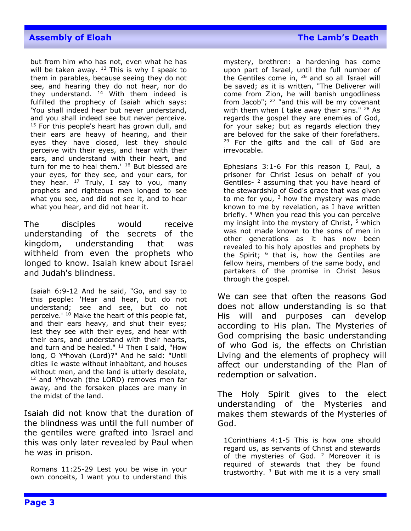but from him who has not, even what he has will be taken away.  $13$  This is why I speak to them in parables, because seeing they do not see, and hearing they do not hear, nor do they understand.  $14$  With them indeed is fulfilled the prophecy of Isaiah which says: 'You shall indeed hear but never understand, and you shall indeed see but never perceive. <sup>15</sup> For this people's heart has grown dull, and their ears are heavy of hearing, and their eyes they have closed, lest they should perceive with their eyes, and hear with their ears, and understand with their heart, and turn for me to heal them.' <sup>16</sup> But blessed are your eyes, for they see, and your ears, for they hear.  $17$  Truly, I say to you, many prophets and righteous men longed to see what you see, and did not see it, and to hear what you hear, and did not hear it.

The disciples would receive understanding of the secrets of the kingdom, understanding that was withheld from even the prophets who longed to know. Isaiah knew about Israel and Judah's blindness.

Isaiah 6:9-12 And he said, "Go, and say to this people: 'Hear and hear, but do not understand; see and see, but do not perceive.' <sup>10</sup> Make the heart of this people fat, and their ears heavy, and shut their eyes; lest they see with their eyes, and hear with their ears, and understand with their hearts, and turn and be healed."  $11$  Then I said, "How long, O Y<sup>e</sup>hovah (Lord)?" And he said: "Until cities lie waste without inhabitant, and houses without men, and the land is utterly desolate,  $12$  and Y<sup>e</sup>hovah (the LORD) removes men far away, and the forsaken places are many in the midst of the land.

Isaiah did not know that the duration of the blindness was until the full number of the gentiles were grafted into Israel and this was only later revealed by Paul when he was in prison.

Romans 11:25-29 Lest you be wise in your own conceits, I want you to understand this

mystery, brethren: a hardening has come upon part of Israel, until the full number of the Gentiles come in, <sup>26</sup> and so all Israel will be saved; as it is written, "The Deliverer will come from Zion, he will banish ungodliness from Jacob";  $27$  "and this will be my covenant with them when I take away their sins." <sup>28</sup> As regards the gospel they are enemies of God, for your sake; but as regards election they are beloved for the sake of their forefathers.  $29$  For the gifts and the call of God are irrevocable.

Ephesians 3:1-6 For this reason I, Paul, a prisoner for Christ Jesus on behalf of you Gentiles-<sup>2</sup> assuming that you have heard of the stewardship of God's grace that was given to me for you,  $3$  how the mystery was made known to me by revelation, as I have written briefly. <sup>4</sup> When you read this you can perceive my insight into the mystery of Christ, <sup>5</sup> which was not made known to the sons of men in other generations as it has now been revealed to his holy apostles and prophets by the Spirit; <sup>6</sup> that is, how the Gentiles are fellow heirs, members of the same body, and partakers of the promise in Christ Jesus through the gospel.

We can see that often the reasons God does not allow understanding is so that His will and purposes can develop according to His plan. The Mysteries of God comprising the basic understanding of who God is, the effects on Christian Living and the elements of prophecy will affect our understanding of the Plan of redemption or salvation.

The Holy Spirit gives to the elect understanding of the Mysteries and makes them stewards of the Mysteries of God.

1Corinthians 4:1-5 This is how one should regard us, as servants of Christ and stewards of the mysteries of God.  $2$  Moreover it is required of stewards that they be found trustworthy.  $3$  But with me it is a very small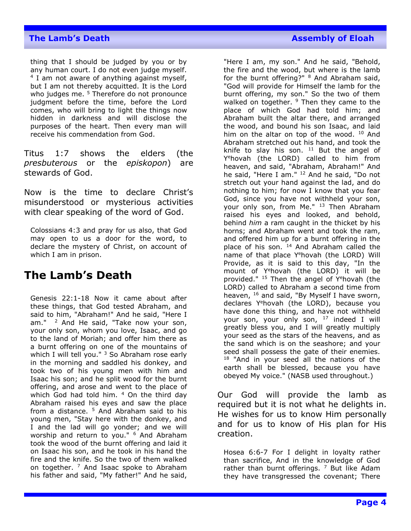#### **The Lamb's Death Assembly of Eloah Assembly of Eloah**

thing that I should be judged by you or by any human court. I do not even judge myself. <sup>4</sup> I am not aware of anything against myself, but I am not thereby acquitted. It is the Lord who judges me.  $5$  Therefore do not pronounce judgment before the time, before the Lord comes, who will bring to light the things now hidden in darkness and will disclose the purposes of the heart. Then every man will receive his commendation from God.

Titus 1:7 shows the elders (the *presbuterous* or the *episkopon*) are stewards of God.

Now is the time to declare Christ's misunderstood or mysterious activities with clear speaking of the word of God.

Colossians 4:3 and pray for us also, that God may open to us a door for the word, to declare the mystery of Christ, on account of which I am in prison.

# **The Lamb's Death**

Genesis 22:1-18 Now it came about after these things, that God tested Abraham, and said to him, "Abraham!" And he said, "Here I am."  $2$  And He said, "Take now your son, your only son, whom you love, Isaac, and go to the land of Moriah; and offer him there as a burnt offering on one of the mountains of which I will tell you."  $3$  So Abraham rose early in the morning and saddled his donkey, and took two of his young men with him and Isaac his son; and he split wood for the burnt offering, and arose and went to the place of which God had told him.  $4$  On the third day Abraham raised his eyes and saw the place from a distance. <sup>5</sup> And Abraham said to his young men, "Stay here with the donkey, and I and the lad will go yonder; and we will worship and return to you." <sup>6</sup> And Abraham took the wood of the burnt offering and laid it on Isaac his son, and he took in his hand the fire and the knife. So the two of them walked on together.  $7$  And Isaac spoke to Abraham his father and said, "My father!" And he said,

"Here I am, my son." And he said, "Behold, the fire and the wood, but where is the lamb for the burnt offering?" <sup>8</sup> And Abraham said, "God will provide for Himself the lamb for the burnt offering, my son." So the two of them walked on together. <sup>9</sup> Then they came to the place of which God had told him; and Abraham built the altar there, and arranged the wood, and bound his son Isaac, and laid him on the altar on top of the wood. <sup>10</sup> And Abraham stretched out his hand, and took the knife to slay his son.  $11$  But the angel of Y <sup>e</sup>hovah (the LORD) called to him from heaven, and said, "Abraham, Abraham!" And he said, "Here I am." <sup>12</sup> And he said, "Do not stretch out your hand against the lad, and do nothing to him; for now I know that you fear God, since you have not withheld your son, your only son, from Me." <sup>13</sup> Then Abraham raised his eyes and looked, and behold, behind *him* a ram caught in the thicket by his horns; and Abraham went and took the ram, and offered him up for a burnt offering in the place of his son. <sup>14</sup> And Abraham called the name of that place Y<sup>e</sup>hovah (the LORD) Will Provide, as it is said to this day, "In the mount of Y <sup>e</sup>hovah (the LORD) it will be provided." <sup>15</sup> Then the angel of Y<sup>e</sup>hovah (the LORD) called to Abraham a second time from heaven, <sup>16</sup> and said, "By Myself I have sworn, declares Y <sup>e</sup>hovah (the LORD), because you have done this thing, and have not withheld your son, your only son, <sup>17</sup> indeed I will greatly bless you, and I will greatly multiply your seed as the stars of the heavens, and as the sand which is on the seashore; and your seed shall possess the gate of their enemies. <sup>18</sup> "And in your seed all the nations of the earth shall be blessed, because you have obeyed My voice." (NASB used throughout.)

Our God will provide the lamb as required but it is not what he delights in. He wishes for us to know Him personally and for us to know of His plan for His creation.

Hosea 6:6-7 For I delight in loyalty rather than sacrifice, And in the knowledge of God rather than burnt offerings.  $7$  But like Adam they have transgressed the covenant; There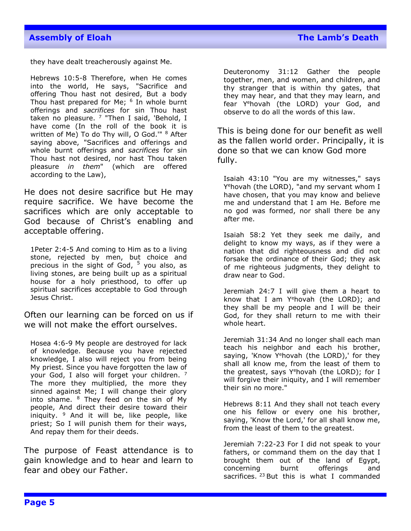they have dealt treacherously against Me.

Hebrews 10:5-8 Therefore, when He comes into the world, He says, "Sacrifice and offering Thou hast not desired, But a body Thou hast prepared for Me; <sup>6</sup> In whole burnt offerings and *sacrifices* for sin Thou hast taken no pleasure. <sup>7</sup> "Then I said, 'Behold, I have come (In the roll of the book it is written of Me) To do Thy will, O God." <sup>8</sup> After saying above, "Sacrifices and offerings and whole burnt offerings and *sacrifices* for sin Thou hast not desired, nor hast Thou taken pleasure *in them*" (which are offered according to the Law),

He does not desire sacrifice but He may require sacrifice. We have become the sacrifices which are only acceptable to God because of Christ's enabling and acceptable offering.

1Peter 2:4-5 And coming to Him as to a living stone, rejected by men, but choice and precious in the sight of God,  $5$  you also, as living stones, are being built up as a spiritual house for a holy priesthood, to offer up spiritual sacrifices acceptable to God through Jesus Christ.

Often our learning can be forced on us if we will not make the effort ourselves.

Hosea 4:6-9 My people are destroyed for lack of knowledge. Because you have rejected knowledge, I also will reject you from being My priest. Since you have forgotten the law of your God, I also will forget your children. 7 The more they multiplied, the more they sinned against Me; I will change their glory into shame.  $8$  They feed on the sin of My people, And direct their desire toward their iniquity.  $9$  And it will be, like people, like priest; So I will punish them for their ways, And repay them for their deeds.

The purpose of Feast attendance is to gain knowledge and to hear and learn to fear and obey our Father.

Deuteronomy 31:12 Gather the people together, men, and women, and children, and thy stranger that is within thy gates, that they may hear, and that they may learn, and fear Y<sup>e</sup>hovah (the LORD) your God, and observe to do all the words of this law.

This is being done for our benefit as well as the fallen world order. Principally, it is done so that we can know God more fully.

Isaiah 43:10 "You are my witnesses," says Y <sup>e</sup>hovah (the LORD), "and my servant whom I have chosen, that you may know and believe me and understand that I am He. Before me no god was formed, nor shall there be any after me.

Isaiah 58:2 Yet they seek me daily, and delight to know my ways, as if they were a nation that did righteousness and did not forsake the ordinance of their God; they ask of me righteous judgments, they delight to draw near to God.

Jeremiah 24:7 I will give them a heart to know that I am Y<sup>e</sup>hovah (the LORD); and they shall be my people and I will be their God, for they shall return to me with their whole heart.

Jeremiah 31:34 And no longer shall each man teach his neighbor and each his brother, saying, 'Know Y<sup>e</sup>hovah (the LORD),' for they shall all know me, from the least of them to the greatest, says Y<sup>e</sup>hovah (the LORD); for I will forgive their iniquity, and I will remember their sin no more."

Hebrews 8:11 And they shall not teach every one his fellow or every one his brother, saying, 'Know the Lord,' for all shall know me, from the least of them to the greatest.

Jeremiah 7:22-23 For I did not speak to your fathers, or command them on the day that I brought them out of the land of Egypt, concerning burnt offerings and sacrifices.  $23$  But this is what I commanded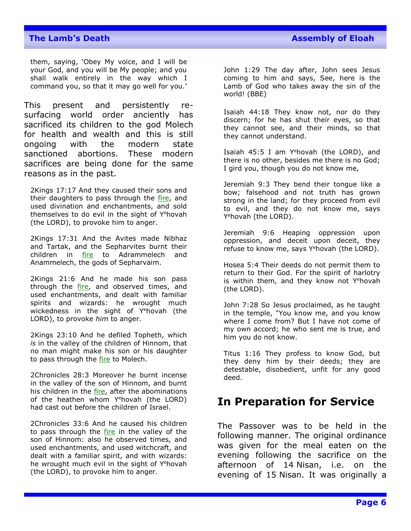them, saying, 'Obey My voice, and I will be your God, and you will be My people; and you shall walk entirely in the way which I command you, so that it may go well for you.'

This present and persistently resurfacing world order anciently has sacrificed its children to the god Molech for health and wealth and this is still ongoing with the modern state sanctioned abortions. These modern sacrifices are being done for the same reasons as in the past.

2Kings 17:17 And they caused their sons and their daughters to pass through the fire, and used divination and enchantments, and sold themselves to do evil in the sight of Y<sup>e</sup>hovah (the LORD), to provoke him to anger.

2Kings 17:31 And the Avites made Nibhaz and Tartak, and the Sepharvites burnt their children in fire to Adrammelech and Anammelech, the gods of Sepharvaim.

2Kings 21:6 And he made his son pass through the fire, and observed times, and used enchantments, and dealt with familiar spirits and wizards: he wrought much wickedness in the sight of Y<sup>e</sup>hovah (the LORD), to provoke *him* to anger.

2Kings 23:10 And he defiled Topheth, which *is* in the valley of the children of Hinnom, that no man might make his son or his daughter to pass through the fire to Molech.

2Chronicles 28:3 Moreover he burnt incense in the valley of the son of Hinnom, and burnt his children in the fire, after the abominations of the heathen whom Y<sup>e</sup>hovah (the LORD) had cast out before the children of Israel.

2Chronicles 33:6 And he caused his children to pass through the fire in the valley of the son of Hinnom: also he observed times, and used enchantments, and used witchcraft, and dealt with a familiar spirit, and with wizards: he wrought much evil in the sight of Y<sup>e</sup>hovah (the LORD), to provoke him to anger.

John 1:29 The day after, John sees Jesus coming to him and says, See, here is the Lamb of God who takes away the sin of the world! (BBE)

Isaiah 44:18 They know not, nor do they discern; for he has shut their eyes, so that they cannot see, and their minds, so that they cannot understand.

Isaiah 45:5 I am Y<sup>e</sup>hovah (the LORD), and there is no other, besides me there is no God; I gird you, though you do not know me,

Jeremiah 9:3 They bend their tongue like a bow; falsehood and not truth has grown strong in the land; for they proceed from evil to evil, and they do not know me, says Y<sup>e</sup>hovah (the LORD).

Jeremiah 9:6 Heaping oppression upon oppression, and deceit upon deceit, they refuse to know me, says Y<sup>e</sup>hovah (the LORD).

Hosea 5:4 Their deeds do not permit them to return to their God. For the spirit of harlotry is within them, and they know not  $Y^e$ hovah (the LORD).

John 7:28 So Jesus proclaimed, as he taught in the temple, "You know me, and you know where I come from? But I have not come of my own accord; he who sent me is true, and him you do not know.

Titus 1:16 They profess to know God, but they deny him by their deeds; they are detestable, disobedient, unfit for any good deed.

# **In Preparation for Service**

The Passover was to be held in the following manner. The original ordinance was given for the meal eaten on the evening following the sacrifice on the afternoon of 14 Nisan, i.e. on the evening of 15 Nisan. It was originally a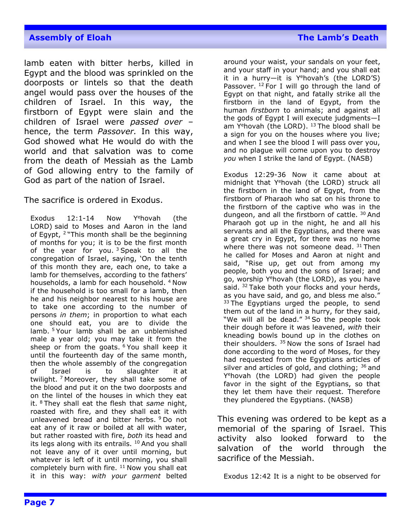lamb eaten with bitter herbs, killed in Egypt and the blood was sprinkled on the doorposts or lintels so that the death angel would pass over the houses of the children of Israel. In this way, the firstborn of Egypt were slain and the children of Israel were *passed over* – hence, the term *Passover.* In this way, God showed what He would do with the world and that salvation was to come from the death of Messiah as the Lamb of God allowing entry to the family of God as part of the nation of Israel.

The sacrifice is ordered in Exodus.

Exodus  $12:1-14$  Now Y<sup>e</sup>hovah (the LORD) said to Moses and Aaron in the land of Egypt, <sup>2</sup> "This month shall be the beginning of months for you; it is to be the first month of the year for you.  $3$  Speak to all the congregation of Israel, saying, 'On the tenth of this month they are, each one, to take a lamb for themselves, according to the fathers' households, a lamb for each household. <sup>4</sup> Now if the household is too small for a lamb, then he and his neighbor nearest to his house are to take one according to the number of persons *in them*; in proportion to what each one should eat, you are to divide the lamb. <sup>5</sup> Your lamb shall be an unblemished male a year old; you may take it from the sheep or from the goats.  $6$  You shall keep it until the fourteenth day of the same month, then the whole assembly of the congregation of Israel is to slaughter it at twilight.<sup>7</sup> Moreover, they shall take some of the blood and put it on the two doorposts and on the lintel of the houses in which they eat it. <sup>8</sup> They shall eat the flesh that *same* night, roasted with fire, and they shall eat it with unleavened bread and bitter herbs. <sup>9</sup> Do not eat any of it raw or boiled at all with water, but rather roasted with fire, *both* its head and its legs along with its entrails.  $10$  And you shall not leave any of it over until morning, but whatever is left of it until morning, you shall completely burn with fire.  $11$  Now you shall eat it in this way: *with your garment* belted

around your waist, your sandals on your feet, and your staff in your hand; and you shall eat it in a hurry—it is Yehovah's (the LORD'S) Passover. <sup>12</sup> For I will go through the land of Egypt on that night, and fatally strike all the firstborn in the land of Egypt, from the human *firstborn* to animals; and against all the gods of Egypt I will execute judgments—I am Y<sup>e</sup>hovah (the LORD). <sup>13</sup> The blood shall be a sign for you on the houses where you live; and when I see the blood I will pass over you, and no plague will come upon you to destroy *you* when I strike the land of Egypt. (NASB)

Exodus 12:29-36 Now it came about at midnight that Yehovah (the LORD) struck all the firstborn in the land of Egypt, from the firstborn of Pharaoh who sat on his throne to the firstborn of the captive who was in the dungeon, and all the firstborn of cattle. <sup>30</sup> And Pharaoh got up in the night, he and all his servants and all the Egyptians, and there was a great cry in Egypt, for there was no home where there was not someone dead. 31 Then he called for Moses and Aaron at night and said, "Rise up, get out from among my people, both you and the sons of Israel; and go, worship Y<sup>e</sup>hovah (the LORD), as you have said. <sup>32</sup> Take both your flocks and your herds, as you have said, and go, and bless me also."  $33$  The Egyptians urged the people, to send them out of the land in a hurry, for they said, "We will all be dead." 34 So the people took their dough before it was leavened, *with* their kneading bowls bound up in the clothes on their shoulders. <sup>35</sup> Now the sons of Israel had done according to the word of Moses, for they had requested from the Egyptians articles of silver and articles of gold, and clothing;  $36$  and Y <sup>e</sup>hovah (the LORD) had given the people favor in the sight of the Egyptians, so that they let them have their request. Therefore they plundered the Egyptians. (NASB)

This evening was ordered to be kept as a memorial of the sparing of Israel. This activity also looked forward to the salvation of the world through the sacrifice of the Messiah.

Exodus 12:42 It is a night to be observed for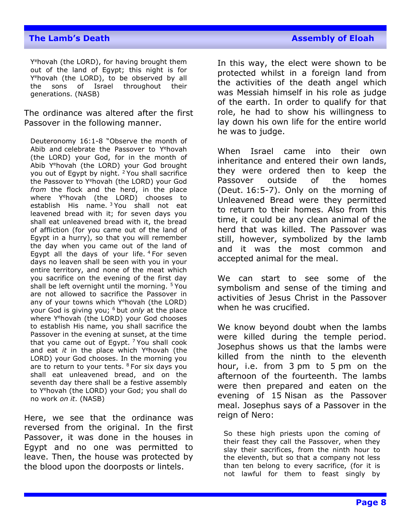### **The Lamb's Death Assembly of Eloah Assembly of Eloah**

Y<sup>e</sup>hovah (the LORD), for having brought them out of the land of Egypt; this night is for Y <sup>e</sup>hovah (the LORD), to be observed by all the sons of Israel throughout their generations. (NASB)

The ordinance was altered after the first Passover in the following manner.

Deuteronomy 16:1-8 "Observe the month of Abib and celebrate the Passover to Y<sup>e</sup>hovah (the LORD) your God, for in the month of Abib Y<sup>e</sup>hovah (the LORD) your God brought you out of Egypt by night. <sup>2</sup> You shall sacrifice the Passover to Y<sup>e</sup>hovah (the LORD) your God *from* the flock and the herd, in the place where Y<sup>e</sup>hovah (the LORD) chooses to establish His name. <sup>3</sup> You shall not eat leavened bread with it; for seven days you shall eat unleavened bread with it, the bread of affliction (for you came out of the land of Egypt in a hurry), so that you will remember the day when you came out of the land of Egypt all the days of your life.  $4$  For seven days no leaven shall be seen with you in your entire territory, and none of the meat which you sacrifice on the evening of the first day shall be left overnight until the morning. <sup>5</sup> You are not allowed to sacrifice the Passover in any of your towns which Y<sup>e</sup>hovah (the LORD) your God is giving you; <sup>6</sup> but *only* at the place where Y<sup>e</sup>hovah (the LORD) your God chooses to establish His name, you shall sacrifice the Passover in the evening at sunset, at the time that you came out of Egypt.  $7$  You shall cook and eat *it* in the place which Y<sup>e</sup>hovah (the LORD) your God chooses. In the morning you are to return to your tents.  $8$  For six days you shall eat unleavened bread, and on the seventh day there shall be a festive assembly to Y <sup>e</sup>hovah (the LORD) your God; you shall do no work *on it*. (NASB)

Here, we see that the ordinance was reversed from the original. In the first Passover, it was done in the houses in Egypt and no one was permitted to leave. Then, the house was protected by the blood upon the doorposts or lintels.

In this way, the elect were shown to be protected whilst in a foreign land from the activities of the death angel which was Messiah himself in his role as judge of the earth. In order to qualify for that role, he had to show his willingness to lay down his own life for the entire world he was to judge.

When Israel came into their own inheritance and entered their own lands, they were ordered then to keep the Passover outside of the homes (Deut. 16:5-7). Only on the morning of Unleavened Bread were they permitted to return to their homes. Also from this time, it could be any clean animal of the herd that was killed. The Passover was still, however, symbolized by the lamb and it was the most common and accepted animal for the meal.

We can start to see some of the symbolism and sense of the timing and activities of Jesus Christ in the Passover when he was crucified.

We know beyond doubt when the lambs were killed during the temple period. Josephus shows us that the lambs were killed from the ninth to the eleventh hour, i.e. from 3 pm to 5 pm on the afternoon of the fourteenth. The lambs were then prepared and eaten on the evening of 15 Nisan as the Passover meal. Josephus says of a Passover in the reign of Nero:

So these high priests upon the coming of their feast they call the Passover, when they slay their sacrifices, from the ninth hour to the eleventh, but so that a company not less than ten belong to every sacrifice, (for it is not lawful for them to feast singly by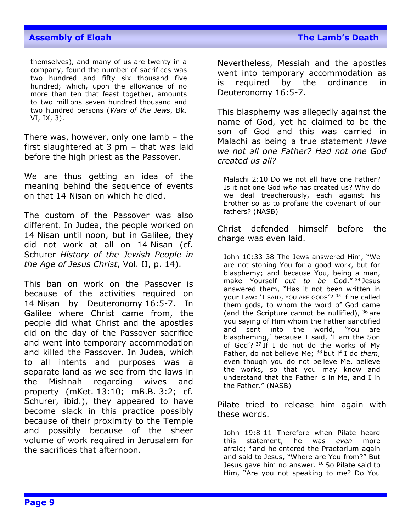themselves), and many of us are twenty in a company, found the number of sacrifices was two hundred and fifty six thousand five hundred; which, upon the allowance of no more than ten that feast together, amounts to two millions seven hundred thousand and two hundred persons (*Wars of the Jews*, Bk. VI, IX, 3).

There was, however, only one lamb – the first slaughtered at 3 pm – that was laid before the high priest as the Passover.

We are thus getting an idea of the meaning behind the sequence of events on that 14 Nisan on which he died.

The custom of the Passover was also different. In Judea, the people worked on 14 Nisan until noon, but in Galilee, they did not work at all on 14 Nisan (cf. Schurer *History of the Jewish People in the Age of Jesus Christ*, Vol. II, p. 14).

This ban on work on the Passover is because of the activities required on 14 Nisan by Deuteronomy 16:5-7. In Galilee where Christ came from, the people did what Christ and the apostles did on the day of the Passover sacrifice and went into temporary accommodation and killed the Passover. In Judea, which to all intents and purposes was a separate land as we see from the laws in the Mishnah regarding wives and property (mKet. 13:10; mB.B. 3:2; cf. Schurer, ibid.), they appeared to have become slack in this practice possibly because of their proximity to the Temple and possibly because of the sheer volume of work required in Jerusalem for the sacrifices that afternoon.

Nevertheless, Messiah and the apostles went into temporary accommodation as is required by the ordinance in Deuteronomy 16:5-7.

This blasphemy was allegedly against the name of God, yet he claimed to be the son of God and this was carried in Malachi as being a true statement *Have we not all one Father? Had not one God created us all?*

Malachi 2:10 Do we not all have one Father? Is it not one God *who* has created us? Why do we deal treacherously, each against his brother so as to profane the covenant of our fathers? (NASB)

Christ defended himself before the charge was even laid.

John 10:33-38 The Jews answered Him, "We are not stoning You for a good work, but for blasphemy; and because You, being a man, make Yourself *out to be* God." <sup>34</sup> Jesus answered them, "Has it not been written in your Law: 'I SAID, YOU ARE GODS'? <sup>35</sup> If he called them gods, to whom the word of God came (and the Scripture cannot be nullified),  $36$  are you saying of Him whom the Father sanctified and sent into the world, 'You are blaspheming,' because I said, 'I am the Son of God'?  $37$  If I do not do the works of My Father, do not believe Me; <sup>38</sup> but if I do *them*, even though you do not believe Me, believe the works, so that you may know and understand that the Father is in Me, and I in the Father." (NASB)

Pilate tried to release him again with these words.

John 19:8-11 Therefore when Pilate heard this statement, he was *even* more afraid; <sup>9</sup> and he entered the Praetorium again and said to Jesus, "Where are You from?" But Jesus gave him no answer. <sup>10</sup> So Pilate said to Him, "Are you not speaking to me? Do You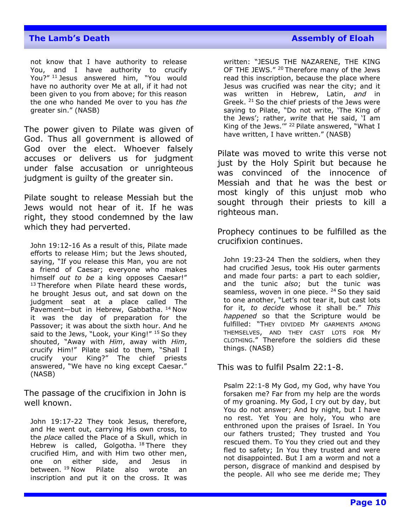#### **The Lamb's Death Assembly of Eloah Assembly of Eloah**

not know that I have authority to release You, and I have authority to crucify You?" <sup>11</sup> Jesus answered him, "You would have no authority over Me at all, if it had not been given to you from above; for this reason the one who handed Me over to you has *the* greater sin." (NASB)

The power given to Pilate was given of God. Thus all government is allowed of God over the elect. Whoever falsely accuses or delivers us for judgment under false accusation or unrighteous judgment is guilty of the greater sin.

Pilate sought to release Messiah but the Jews would not hear of it. If he was right, they stood condemned by the law which they had perverted.

John 19:12-16 As a result of this, Pilate made efforts to release Him; but the Jews shouted, saying, "If you release this Man, you are not a friend of Caesar; everyone who makes himself *out to be* a king opposes Caesar!"  $13$  Therefore when Pilate heard these words, he brought Jesus out, and sat down on the judgment seat at a place called The Pavement-but in Hebrew, Gabbatha. <sup>14</sup> Now it was the day of preparation for the Passover; it was about the sixth hour. And he said to the Jews, "Look, your King!" 15 So they shouted, "Away with *Him*, away with *Him*, crucify Him!" Pilate said to them, "Shall I crucify your King?" The chief priests answered, "We have no king except Caesar." (NASB)

The passage of the crucifixion in John is well known.

John 19:17-22 They took Jesus, therefore, and He went out, carrying His own cross, to the *place* called the Place of a Skull, which in Hebrew is called, Golgotha. <sup>18</sup> There they crucified Him, and with Him two other men, one on either side, and Jesus in between. <sup>19</sup> Now Pilate also wrote an inscription and put it on the cross. It was

written: "JESUS THE NAZARENE, THE KING OF THE JEWS." <sup>20</sup> Therefore many of the Jews read this inscription, because the place where Jesus was crucified was near the city; and it was written in Hebrew, Latin, *and* in Greek. <sup>21</sup> So the chief priests of the Jews were saying to Pilate, "Do not write, 'The King of the Jews'; rather, *write* that He said, 'I am King of the Jews." <sup>22</sup> Pilate answered, "What I have written, I have written." (NASB)

Pilate was moved to write this verse not just by the Holy Spirit but because he was convinced of the innocence of Messiah and that he was the best or most kingly of this unjust mob who sought through their priests to kill a righteous man.

Prophecy continues to be fulfilled as the crucifixion continues.

John 19:23-24 Then the soldiers, when they had crucified Jesus, took His outer garments and made four parts: a part to each soldier, and the tunic *also*; but the tunic was seamless, woven in one piece.  $24$  So they said to one another, "Let's not tear it, but cast lots for it, *to decide* whose it shall be." *This happened* so that the Scripture would be fulfilled: "THEY DIVIDED MY GARMENTS AMONG THEMSELVES, AND THEY CAST LOTS FOR MY CLOTHING." Therefore the soldiers did these things. (NASB)

This was to fulfil Psalm 22:1-8.

Psalm 22:1-8 My God, my God, why have You forsaken me? Far from my help are the words of my groaning. My God, I cry out by day, but You do not answer; And by night, but I have no rest. Yet You are holy, You who are enthroned upon the praises of Israel. In You our fathers trusted; They trusted and You rescued them. To You they cried out and they fled to safety; In You they trusted and were not disappointed. But I am a worm and not a person, disgrace of mankind and despised by the people. All who see me deride me; They